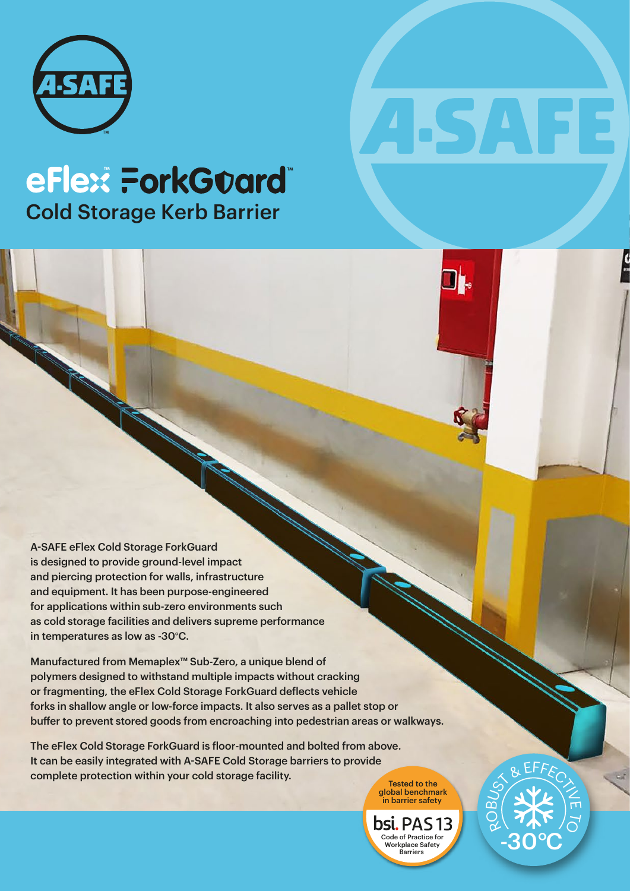

## **TM TM** Cold Storage Kerb Barrier

A-SAFE eFlex Cold Storage ForkGuard is designed to provide ground-level impact and piercing protection for walls, infrastructure and equipment. It has been purpose-engineered for applications within sub-zero environments such as cold storage facilities and delivers supreme performance in temperatures as low as -30°C.

Manufactured from Memaplex™ Sub-Zero, a unique blend of polymers designed to withstand multiple impacts without cracking or fragmenting, the eFlex Cold Storage ForkGuard deflects vehicle forks in shallow angle or low-force impacts. It also serves as a pallet stop or buffer to prevent stored goods from encroaching into pedestrian areas or walkways.

The eFlex Cold Storage ForkGuard is floor-mounted and bolted from above. It can be easily integrated with A-SAFE Cold Storage barriers to provide complete protection within your cold storage facility.

global benchmark in barrier safety

bsi. PAS 13 Code of Practice for Workplace Safety Barriers

RO

BUST & EFFECT

-30°C

 $\widetilde{\circ}$